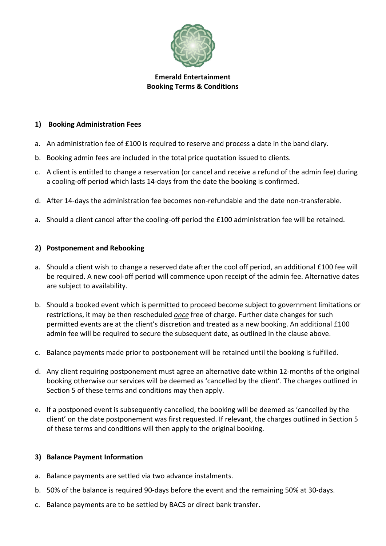

### **Emerald Entertainment Booking Terms & Conditions**

### **1) Booking Administration Fees**

- a. An administration fee of £100 is required to reserve and process a date in the band diary.
- b. Booking admin fees are included in the total price quotation issued to clients.
- c. A client is entitled to change a reservation (or cancel and receive a refund of the admin fee) during a cooling-off period which lasts 14-days from the date the booking is confirmed.
- d. After 14-days the administration fee becomes non-refundable and the date non-transferable.
- a. Should a client cancel after the cooling-off period the £100 administration fee will be retained.

#### **2) Postponement and Rebooking**

- a. Should a client wish to change a reserved date after the cool off period, an additional £100 fee will be required. A new cool-off period will commence upon receipt of the admin fee. Alternative dates are subject to availability.
- b. Should a booked event which is permitted to proceed become subject to government limitations or restrictions, it may be then rescheduled *once* free of charge. Further date changes for such permitted events are at the client's discretion and treated as a new booking. An additional £100 admin fee will be required to secure the subsequent date, as outlined in the clause above.
- c. Balance payments made prior to postponement will be retained until the booking is fulfilled.
- d. Any client requiring postponement must agree an alternative date within 12-months of the original booking otherwise our services will be deemed as 'cancelled by the client'. The charges outlined in Section 5 of these terms and conditions may then apply.
- e. If a postponed event is subsequently cancelled, the booking will be deemed as 'cancelled by the client' on the date postponement was first requested. If relevant, the charges outlined in Section 5 of these terms and conditions will then apply to the original booking.

# **3) Balance Payment Information**

- a. Balance payments are settled via two advance instalments.
- b. 50% of the balance is required 90-days before the event and the remaining 50% at 30-days.
- c. Balance payments are to be settled by BACS or direct bank transfer.